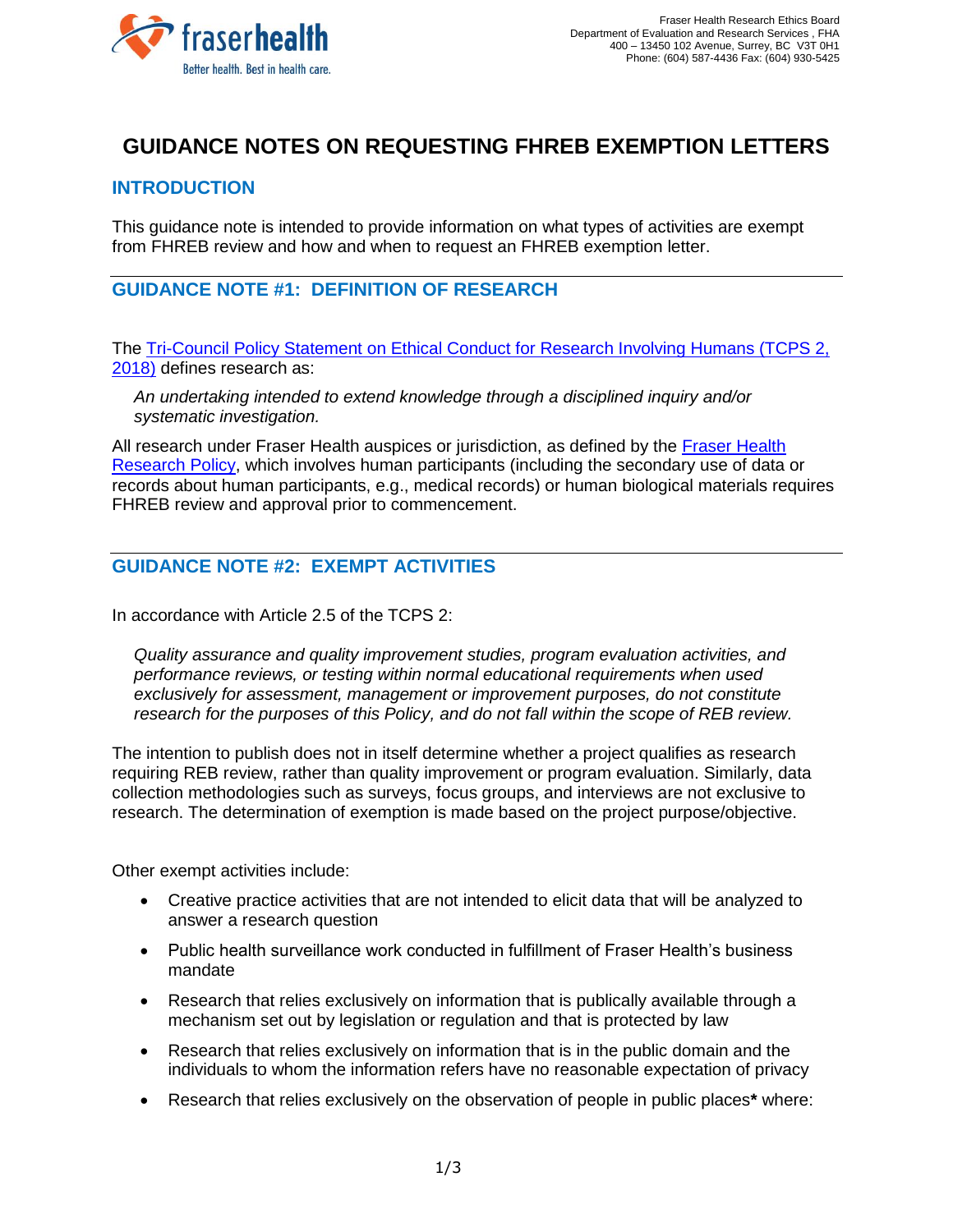

# **GUIDANCE NOTES ON REQUESTING FHREB EXEMPTION LETTERS**

#### **INTRODUCTION**

This guidance note is intended to provide information on what types of activities are exempt from FHREB review and how and when to request an FHREB exemption letter.

#### **GUIDANCE NOTE #1: DEFINITION OF RESEARCH**

The [Tri-Council Policy Statement on Ethical Conduct for Research Involving Humans \(TCPS 2,](http://www.pre.ethics.gc.ca/eng/documents/tcps2-2018-en-interactive-final.pdf)  [2018\)](http://www.pre.ethics.gc.ca/eng/documents/tcps2-2018-en-interactive-final.pdf) defines research as:

*An undertaking intended to extend knowledge through a disciplined inquiry and/or systematic investigation.*

All research under Fraser Health auspices or jurisdiction, as defined by the [Fraser Health](https://www.fraserhealth.ca/-/media/Project/FraserHealth/FraserHealth/Health-Professionals/Research-and-Evaluation-Services/201708_fraser_health_research_policy.pdf?la=en&hash=8C057C2DF7C7F7EDB2A22CD2FDB56F0693E724F1)  [Research Policy,](https://www.fraserhealth.ca/-/media/Project/FraserHealth/FraserHealth/Health-Professionals/Research-and-Evaluation-Services/201708_fraser_health_research_policy.pdf?la=en&hash=8C057C2DF7C7F7EDB2A22CD2FDB56F0693E724F1) which involves human participants (including the secondary use of data or records about human participants, e.g., medical records) or human biological materials requires FHREB review and approval prior to commencement.

## **GUIDANCE NOTE #2: EXEMPT ACTIVITIES**

In accordance with Article 2.5 of the TCPS 2:

*Quality assurance and quality improvement studies, program evaluation activities, and performance reviews, or testing within normal educational requirements when used exclusively for assessment, management or improvement purposes, do not constitute research for the purposes of this Policy, and do not fall within the scope of REB review.*

The intention to publish does not in itself determine whether a project qualifies as research requiring REB review, rather than quality improvement or program evaluation. Similarly, data collection methodologies such as surveys, focus groups, and interviews are not exclusive to research. The determination of exemption is made based on the project purpose/objective.

Other exempt activities include:

- Creative practice activities that are not intended to elicit data that will be analyzed to answer a research question
- Public health surveillance work conducted in fulfillment of Fraser Health's business mandate
- Research that relies exclusively on information that is publically available through a mechanism set out by legislation or regulation and that is protected by law
- Research that relies exclusively on information that is in the public domain and the individuals to whom the information refers have no reasonable expectation of privacy
- Research that relies exclusively on the observation of people in public places**\*** where: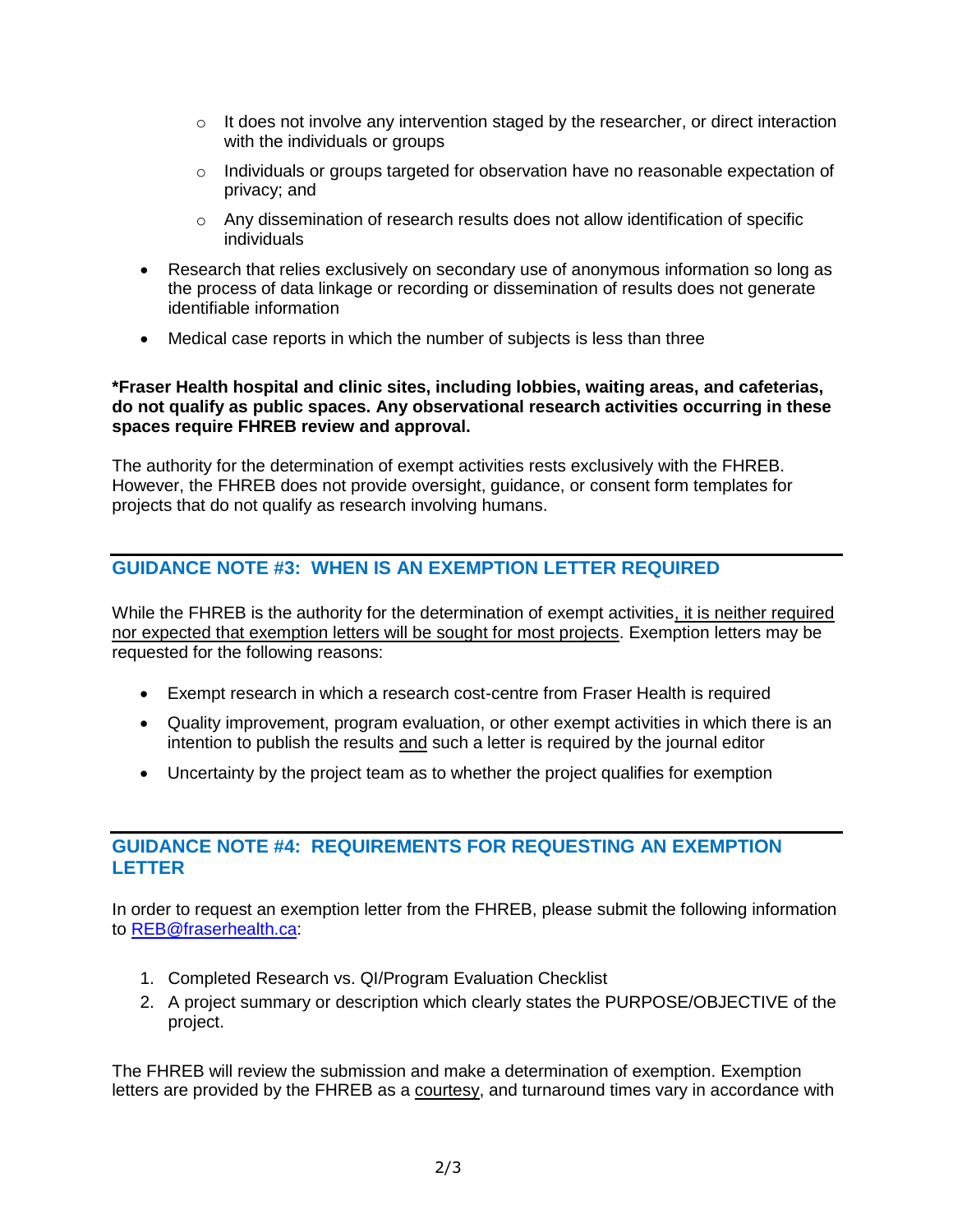- $\circ$  It does not involve any intervention staged by the researcher, or direct interaction with the individuals or groups
- o Individuals or groups targeted for observation have no reasonable expectation of privacy; and
- $\circ$  Any dissemination of research results does not allow identification of specific individuals
- Research that relies exclusively on secondary use of anonymous information so long as the process of data linkage or recording or dissemination of results does not generate identifiable information
- Medical case reports in which the number of subjects is less than three

#### **\*Fraser Health hospital and clinic sites, including lobbies, waiting areas, and cafeterias, do not qualify as public spaces. Any observational research activities occurring in these spaces require FHREB review and approval.**

The authority for the determination of exempt activities rests exclusively with the FHREB. However, the FHREB does not provide oversight, guidance, or consent form templates for projects that do not qualify as research involving humans.

## **GUIDANCE NOTE #3: WHEN IS AN EXEMPTION LETTER REQUIRED**

While the FHREB is the authority for the determination of exempt activities, it is neither required nor expected that exemption letters will be sought for most projects. Exemption letters may be requested for the following reasons:

- Exempt research in which a research cost-centre from Fraser Health is required
- Quality improvement, program evaluation, or other exempt activities in which there is an intention to publish the results and such a letter is required by the journal editor
- Uncertainty by the project team as to whether the project qualifies for exemption

#### **GUIDANCE NOTE #4: REQUIREMENTS FOR REQUESTING AN EXEMPTION LETTER**

In order to request an exemption letter from the FHREB, please submit the following information to [REB@fraserhealth.ca:](mailto:REB@fraserhealth.ca)

- 1. Completed Research vs. QI/Program Evaluation Checklist
- 2. A project summary or description which clearly states the PURPOSE/OBJECTIVE of the project.

The FHREB will review the submission and make a determination of exemption. Exemption letters are provided by the FHREB as a courtesy, and turnaround times vary in accordance with